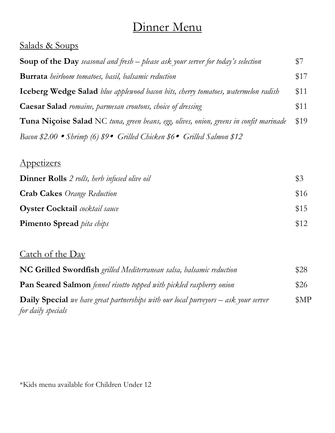# Dinner Menu

### Salads & Soups

| <b>Soup of the Day</b> seasonal and fresh – please ask your server for today's selection | \$7  |
|------------------------------------------------------------------------------------------|------|
| <b>Burrata</b> heirloom tomatoes, basil, balsamic reduction                              | \$17 |
| <b>Iceberg Wedge Salad</b> blue applewood bacon bits, cherry tomatoes, watermelon radish | \$11 |
| <b>Caesar Salad</b> romaine, parmesan croutons, choice of dressing                       | \$11 |
| Tuna Niçoise Salad NC tuna, green beans, egg, olives, onion, greens in confit marinade   | \$19 |
| Bacon \$2.00 • Shrimp (6) $$9 \bullet$ Grilled Chicken \$6 • Grilled Salmon \$12         |      |

### Appetizers

| <b>Dinner Rolls</b> 2 rolls, herb infused olive oil | $\sqrt{$3}$ |
|-----------------------------------------------------|-------------|
| <b>Crab Cakes</b> Orange Reduction                  | \$16        |
| <b>Oyster Cocktail</b> cocktail sauce               | \$15        |
| <b>Pimento Spread</b> <i>pita chips</i>             | \$12        |

## Catch of the Day

| NC Grilled Swordfish grilled Mediterranean salsa, balsamic reduction                       | \$28           |
|--------------------------------------------------------------------------------------------|----------------|
| <b>Pan Seared Salmon</b> fennel risotto topped with pickled raspberry onion                | \$26           |
| <b>Daily Special</b> we have great partnerships with our local purveyors – ask your server | M <sup>p</sup> |
| for daily specials                                                                         |                |

\*Kids menu available for Children Under 12